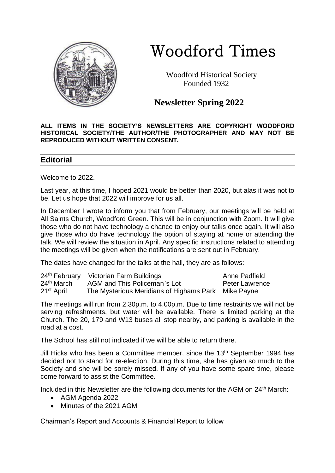

# Woodford Times

 Woodford Historical Society Founded 1932

**Newsletter Spring 2022**

**ALL ITEMS IN THE SOCIETY'S NEWSLETTERS ARE COPYRIGHT WOODFORD HISTORICAL SOCIETY/THE AUTHOR/THE PHOTOGRAPHER AND MAY NOT BE REPRODUCED WITHOUT WRITTEN CONSENT.** 

### **Editorial**

Welcome to 2022.

Last year, at this time, I hoped 2021 would be better than 2020, but alas it was not to be. Let us hope that 2022 will improve for us all.

In December I wrote to inform you that from February, our meetings will be held at All Saints Church, Woodford Green. This will be in conjunction with Zoom. It will give those who do not have technology a chance to enjoy our talks once again. It will also give those who do have technology the option of staying at home or attending the talk. We will review the situation in April. Any specific instructions related to attending the meetings will be given when the notifications are sent out in February.

The dates have changed for the talks at the hall, they are as follows:

|                        | 24th February Victorian Farm Buildings              | Anne Padfield         |
|------------------------|-----------------------------------------------------|-----------------------|
| 24 <sup>th</sup> March | AGM and This Policeman's Lot                        | <b>Peter Lawrence</b> |
| 21 <sup>st</sup> April | The Mysterious Meridians of Highams Park Mike Payne |                       |

The meetings will run from 2.30p.m. to 4.00p.m. Due to time restraints we will not be serving refreshments, but water will be available. There is limited parking at the Church. The 20, 179 and W13 buses all stop nearby, and parking is available in the road at a cost.

The School has still not indicated if we will be able to return there.

Jill Hicks who has been a Committee member, since the  $13<sup>th</sup>$  September 1994 has decided not to stand for re-election. During this time, she has given so much to the Society and she will be sorely missed. If any of you have some spare time, please come forward to assist the Committee.

Included in this Newsletter are the following documents for the AGM on 24<sup>th</sup> March:

- AGM Agenda 2022
- Minutes of the 2021 AGM

Chairman's Report and Accounts & Financial Report to follow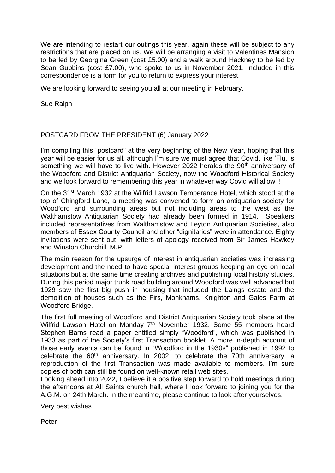We are intending to restart our outings this year, again these will be subject to any restrictions that are placed on us. We will be arranging a visit to Valentines Mansion to be led by Georgina Green (cost £5.00) and a walk around Hackney to be led by Sean Gubbins (cost £7.00), who spoke to us in November 2021. Included in this correspondence is a form for you to return to express your interest.

We are looking forward to seeing you all at our meeting in February.

Sue Ralph

#### POSTCARD FROM THE PRESIDENT (6) January 2022

I'm compiling this "postcard" at the very beginning of the New Year, hoping that this year will be easier for us all, although I'm sure we must agree that Covid, like 'Flu, is something we will have to live with. However 2022 heralds the 90<sup>th</sup> anniversary of the Woodford and District Antiquarian Society, now the Woodford Historical Society and we look forward to remembering this year in whatever way Covid will allow !!

On the 31<sup>st</sup> March 1932 at the Wilfrid Lawson Temperance Hotel, which stood at the top of Chingford Lane, a meeting was convened to form an antiquarian society for Woodford and surrounding areas but not including areas to the west as the Walthamstow Antiquarian Society had already been formed in 1914. Speakers included representatives from Walthamstow and Leyton Antiquarian Societies, also members of Essex County Council and other "dignitaries" were in attendance. Eighty invitations were sent out, with letters of apology received from Sir James Hawkey and Winston Churchill, M.P.

The main reason for the upsurge of interest in antiquarian societies was increasing development and the need to have special interest groups keeping an eye on local situations but at the same time creating archives and publishing local history studies. During this period major trunk road building around Woodford was well advanced but 1929 saw the first big push in housing that included the Laings estate and the demolition of houses such as the Firs, Monkhams, Knighton and Gales Farm at Woodford Bridge.

The first full meeting of Woodford and District Antiquarian Society took place at the Wilfrid Lawson Hotel on Monday 7<sup>th</sup> November 1932. Some 55 members heard Stephen Barns read a paper entitled simply "Woodford", which was published in 1933 as part of the Society's first Transaction booklet. A more in-depth account of those early events can be found in "Woodford in the 1930s" published in 1992 to celebrate the 60<sup>th</sup> anniversary. In 2002, to celebrate the 70th anniversary, a reproduction of the first Transaction was made available to members. I'm sure copies of both can still be found on well-known retail web sites.

Looking ahead into 2022, I believe it a positive step forward to hold meetings during the afternoons at All Saints church hall, where I look forward to joining you for the A.G.M. on 24th March. In the meantime, please continue to look after yourselves.

Very best wishes

Peter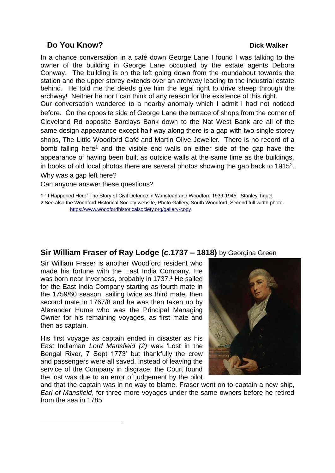# **Do You Know? Dick Walker**

In a chance conversation in a café down George Lane I found I was talking to the owner of the building in George Lane occupied by the estate agents Debora Conway. The building is on the left going down from the roundabout towards the station and the upper storey extends over an archway leading to the industrial estate behind. He told me the deeds give him the legal right to drive sheep through the archway! Neither he nor I can think of any reason for the existence of this right.

Our conversation wandered to a nearby anomaly which I admit I had not noticed before. On the opposite side of George Lane the terrace of shops from the corner of Cleveland Rd opposite Barclays Bank down to the Nat West Bank are all of the same design appearance except half way along there is a gap with two single storey shops, The Little Woodford Café and Martin Olive Jeweller. There is no record of a bomb falling here<sup>1</sup> and the visible end walls on either side of the gap have the appearance of having been built as outside walls at the same time as the buildings, in books of old local photos there are several photos showing the gap back to 1915 $^2$ . Why was a gap left here?

Can anyone answer these questions?

1 "It Happened Here" The Story of Civil Defence in Wanstead and Woodford 1939-1945. Stanley Tiquet 2 See also the Woodford Historical Society website, Photo Gallery, South Woodford, Second full width photo. <https://www.woodfordhistoricalsociety.org/gallery-copy>

# **Sir William Fraser of Ray Lodge (***c***.1737 – 1818)** by Georgina Green

Sir William Fraser is another Woodford resident who made his fortune with the East India Company. He was born near Inverness, probably in 1737.<sup>1</sup> He sailed for the East India Company starting as fourth mate in the 1759/60 season, sailing twice as third mate, then second mate in 1767/8 and he was then taken up by Alexander Hume who was the Principal Managing Owner for his remaining voyages, as first mate and then as captain.

His first voyage as captain ended in disaster as his East Indiaman *Lord Mansfield (2)* was 'Lost in the Bengal River, 7 Sept 1773' but thankfully the crew and passengers were all saved. Instead of leaving the service of the Company in disgrace, the Court found the lost was due to an error of judgement by the pilot



and that the captain was in no way to blame. Fraser went on to captain a new ship, *Earl of Mansfield*, for three more voyages under the same owners before he retired from the sea in 1785.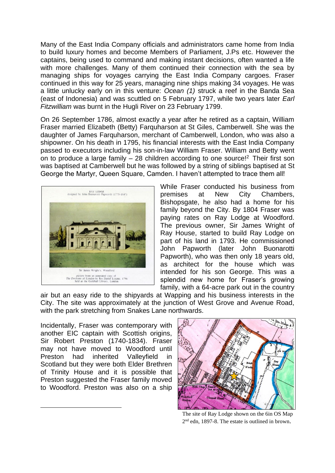Many of the East India Company officials and administrators came home from India to build luxury homes and become Members of Parliament, J.Ps etc. However the captains, being used to command and making instant decisions, often wanted a life with more challenges. Many of them continued their connection with the sea by managing ships for voyages carrying the East India Company cargoes. Fraser continued in this way for 25 years, managing nine ships making 34 voyages. He was a little unlucky early on in this venture: *Ocean (1)* struck a reef in the Banda Sea (east of Indonesia) and was scuttled on 5 February 1797, while two years later *Earl Fitzwilliam* was burnt in the Hugli River on 23 February 1799.

On 26 September 1786, almost exactly a year after he retired as a captain, William Fraser married Elizabeth (Betty) Farquharson at St Giles, Camberwell. She was the daughter of James Farquharson, merchant of Camberwell, London, who was also a shipowner. On his death in 1795, his financial interests with the East India Company passed to executors including his son-in-law William Fraser. William and Betty went on to produce a large family  $-28$  children according to one source!<sup>2</sup> Their first son was baptised at Camberwell but he was followed by a string of siblings baptised at St George the Martyr, Queen Square, Camden. I haven't attempted to trace them all!



While Fraser conducted his business from premises at New City Chambers, Bishopsgate, he also had a home for his family beyond the City. By 1804 Fraser was paying rates on Ray Lodge at Woodford. The previous owner, Sir James Wright of Ray House, started to build Ray Lodge on part of his land in 1793. He commissioned John Papworth (later John Buonarotti Papworth), who was then only 18 years old, as architect for the house which was intended for his son George. This was a splendid new home for Fraser's growing family, with a 64-acre park out in the country

air but an easy ride to the shipyards at Wapping and his business interests in the City. The site was approximately at the junction of West Grove and Avenue Road, with the park stretching from Snakes Lane northwards.

Incidentally, Fraser was contemporary with another EIC captain with Scottish origins, Sir Robert Preston (1740-1834). Fraser may not have moved to Woodford until Preston had inherited Valleyfield in Scotland but they were both Elder Brethren of Trinity House and it is possible that Preston suggested the Fraser family moved to Woodford. Preston was also on a ship



The site of Ray Lodge shown on the 6in OS Map 2<sup>nd</sup> edn, 1897-8. The estate is outlined in brown.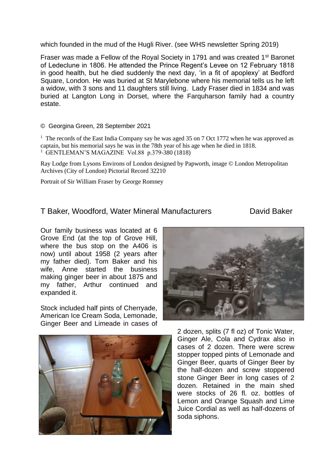which founded in the mud of the Hugli River. (see WHS newsletter Spring 2019)

Fraser was made a Fellow of the Royal Society in 1791 and was created 1st Baronet of Ledeclune in 1806. He attended the Prince Regent's Levee on 12 February 1818 in good health, but he died suddenly the next day, 'in a fit of apoplexy' at Bedford Square, London. He was buried at St Marylebone where his memorial tells us he left a widow, with 3 sons and 11 daughters still living. Lady Fraser died in 1834 and was buried at Langton Long in Dorset, where the Farquharson family had a country estate.

#### © Georgina Green, 28 September 2021

<sup>1</sup> The records of the East India Company say he was aged 35 on 7 Oct 1772 when he was approved as captain, but his memorial says he was in the 78th year of his age when he died in 1818. 1 GENTLEMAN'S MAGAZINE Vol.88 p.379-380 (1818)

Ray Lodge from Lysons Environs of London designed by Papworth, image © London Metropolitan Archives (City of London) Pictorial Record 32210

Portrait of Sir William Fraser by George Romney

# T Baker, Woodford, Water Mineral Manufacturers David Baker

Our family business was located at 6 Grove End (at the top of Grove Hill, where the bus stop on the A406 is now) until about 1958 (2 years after my father died). Tom Baker and his wife, Anne started the business making ginger beer in about 1875 and my father, Arthur continued and expanded it.

Stock included half pints of Cherryade, American Ice Cream Soda, Lemonade, Ginger Beer and Limeade in cases of





2 dozen, splits (7 fl oz) of Tonic Water, Ginger Ale, Cola and Cydrax also in cases of 2 dozen. There were screw stopper topped pints of Lemonade and Ginger Beer, quarts of Ginger Beer by the half-dozen and screw stoppered stone Ginger Beer in long cases of 2 dozen. Retained in the main shed were stocks of 26 fl. oz. bottles of Lemon and Orange Squash and Lime Juice Cordial as well as half-dozens of soda siphons.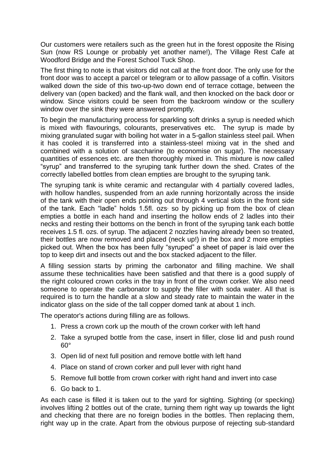Our customers were retailers such as the green hut in the forest opposite the Rising Sun (now RS Lounge or probably yet another name!), The Village Rest Cafe at Woodford Bridge and the Forest School Tuck Shop.

The first thing to note is that visitors did not call at the front door. The only use for the front door was to accept a parcel or telegram or to allow passage of a coffin. Visitors walked down the side of this two-up-two down end of terrace cottage, between the delivery van (open backed) and the flank wall, and then knocked on the back door or window. Since visitors could be seen from the backroom window or the scullery window over the sink they were answered promptly.

To begin the manufacturing process for sparkling soft drinks a syrup is needed which is mixed with flavourings, colourants, preservatives etc. The syrup is made by mixing granulated sugar with boiling hot water in a 5-gallon stainless steel pail. When it has cooled it is transferred into a stainless-steel mixing vat in the shed and combined with a solution of saccharine (to economise on sugar). The necessary quantities of essences etc. are then thoroughly mixed in. This mixture is now called "syrup" and transferred to the syruping tank further down the shed. Crates of the correctly labelled bottles from clean empties are brought to the syruping tank.

The syruping tank is white ceramic and rectangular with 4 partially covered ladles, with hollow handles, suspended from an axle running horizontally across the inside of the tank with their open ends pointing out through 4 vertical slots in the front side of the tank. Each "ladle" holds 1.5fl. ozs<sup>,</sup> so by picking up from the box of clean empties a bottle in each hand and inserting the hollow ends of 2 ladles into their necks and resting their bottoms on the bench in front of the syruping tank each bottle receives 1.5 fl. ozs. of syrup. The adjacent 2 nozzles having already been so treated, their bottles are now removed and placed (neck up!) in the box and 2 more empties picked out. When the box has been fully "syruped" a sheet of paper is laid over the top to keep dirt and insects out and the box stacked adjacent to the filler.

A filling session starts by priming the carbonator and filling machine. We shall assume these technicalities have been satisfied and that there is a good supply of the right coloured crown corks in the tray in front of the crown corker. We also need someone to operate the carbonator to supply the filler with soda water. All that is required is to turn the handle at a slow and steady rate to maintain the water in the indicator glass on the side of the tall copper domed tank at about 1 inch.

The operator's actions during filling are as follows.

- 1. Press a crown cork up the mouth of the crown corker with left hand
- 2. Take a syruped bottle from the case, insert in filler, close lid and push round  $60^\circ$
- 3. Open lid of next full position and remove bottle with left hand
- 4. Place on stand of crown corker and pull lever with right hand
- 5. Remove full bottle from crown corker with right hand and invert into case
- 6. Go back to 1.

As each case is filled it is taken out to the yard for sighting. Sighting (or specking) involves lifting 2 bottles out of the crate, turning them right way up towards the light and checking that there are no foreign bodies in the bottles. Then replacing them, right way up in the crate. Apart from the obvious purpose of rejecting sub-standard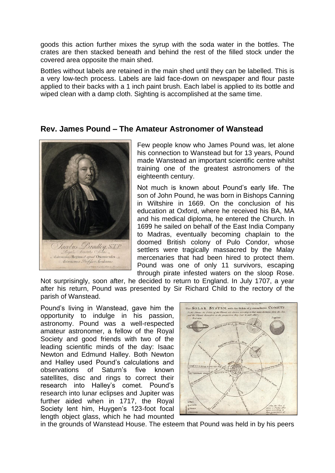goods this action further mixes the syrup with the soda water in the bottles. The crates are then stacked beneath and behind the rest of the filled stock under the covered area opposite the main shed.

Bottles without labels are retained in the main shed until they can be labelled. This is a very low-tech process. Labels are laid face-down on newspaper and flour paste applied to their backs with a 1 inch paint brush. Each label is applied to its bottle and wiped clean with a damp cloth. Sighting is accomplished at the same time.

### **Rev. James Pound – The Amateur Astronomer of Wanstead**



Few people know who James Pound was, let alone his connection to Wanstead but for 13 years, Pound made Wanstead an important scientific centre whilst training one of the greatest astronomers of the eighteenth century.

Not much is known about Pound's early life. The son of John Pound, he was born in Bishops Canning in Wiltshire in 1669. On the conclusion of his education at Oxford, where he received his BA, MA and his medical diploma, he entered the Church. In 1699 he sailed on behalf of the East India Company to Madras, eventually becoming chaplain to the doomed British colony of Pulo Condor, whose settlers were tragically massacred by the Malay mercenaries that had been hired to protect them. Pound was one of only 11 survivors, escaping through pirate infested waters on the sloop Rose.

Not surprisingly, soon after, he decided to return to England. In July 1707, a year after his return, Pound was presented by Sir Richard Child to the rectory of the parish of Wanstead.

Pound's living in Wanstead, gave him the opportunity to indulge in his passion, astronomy. Pound was a well-respected amateur astronomer, a fellow of the Royal Society and good friends with two of the leading scientific minds of the day: Isaac Newton and Edmund Halley. Both Newton and Halley used Pound's calculations and observations of Saturn's five known satellites, disc and rings to correct their research into Halley's comet. Pound's research into lunar eclipses and Jupiter was further aided when in 1717, the Royal Society lent him, Huygen's 123-foot focal length object glass, which he had mounted



in the grounds of Wanstead House. The esteem that Pound was held in by his peers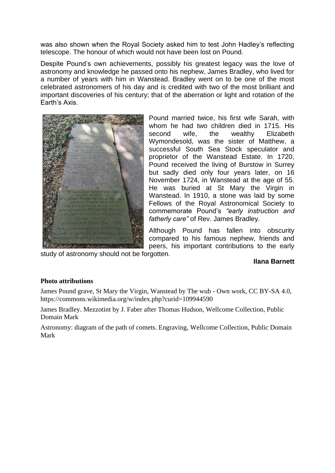was also shown when the Royal Society asked him to test John Hadley's reflecting telescope. The honour of which would not have been lost on Pound.

Despite Pound's own achievements, possibly his greatest legacy was the love of astronomy and knowledge he passed onto his nephew, James Bradley, who lived for a number of years with him in Wanstead. Bradley went on to be one of the most celebrated astronomers of his day and is credited with two of the most brilliant and important discoveries of his century; that of the aberration or light and rotation of the Earth's Axis.



Pound married twice, his first wife Sarah, with whom he had two children died in 1715. His second wife, the wealthy Elizabeth Wymondesold, was the sister of Matthew, a successful South Sea Stock speculator and proprietor of the Wanstead Estate. In 1720, Pound received the living of Burstow in Surrey but sadly died only four years later, on 16 November 1724, in Wanstead at the age of 55. He was buried at St Mary the Virgin in Wanstead. In 1910, a stone was laid by some Fellows of the Royal Astronomical Society to commemorate Pound's *"early instruction and fatherly care"* of Rev. James Bradley.

Although Pound has fallen into obscurity compared to his famous nephew, friends and peers, his important contributions to the early

study of astronomy should not be forgotten.

#### **Ilana Barnett**

#### **Photo attributions**

James Pound grave, St Mary the Virgin, Wanstead by The wub - Own work, CC BY-SA 4.0, https://commons.wikimedia.org/w/index.php?curid=109944590

James Bradley. Mezzotint by J. Faber after Thomas Hudson, Wellcome Collection, Public Domain Mark

Astronomy: diagram of the path of comets. Engraving, Wellcome Collection, Public Domain Mark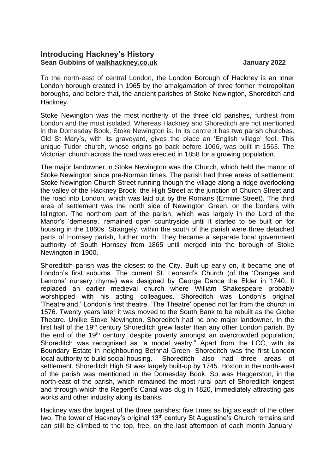# **Introducing Hackney's History Sean Gubbins of walkhackney.co.uk Channel Constrainers and Sean Gubbins of walkhackney.co.uk**

To the north-east of central London, the London Borough of Hackney is an inner London borough created in 1965 by the amalgamation of three former metropolitan boroughs, and before that, the ancient parishes of Stoke Newington, Shoreditch and Hackney.

Stoke Newington was the most northerly of the three old parishes, furthest from London and the most isolated. Whereas Hackney and Shoreditch are not mentioned in the Domesday Book, Stoke Newington is. In its centre it has two parish churches. Old St Mary's, with its graveyard, gives the place an 'English village' feel. This unique Tudor church, whose origins go back before 1066, was built in 1563. The Victorian church across the road was erected in 1858 for a growing population.

The major landowner in Stoke Newington was the Church, which held the manor of Stoke Newington since pre-Norman times. The parish had three areas of settlement: Stoke Newington Church Street running though the village along a ridge overlooking the valley of the Hackney Brook; the High Street at the junction of Church Street and the road into London, which was laid out by the Romans (Ermine Street). The third area of settlement was the north side of Newington Green, on the borders with Islington. The northern part of the parish, which was largely in the Lord of the Manor's 'demesne,' remained open countryside until it started to be built on for housing in the 1860s. Strangely, within the south of the parish were three detached parts of Hornsey parish, further north. They became a separate local government authority of South Hornsey from 1865 until merged into the borough of Stoke Newington in 1900.

Shoreditch parish was the closest to the City. Built up early on, it became one of London's first suburbs. The current St. Leonard's Church (of the 'Oranges and Lemons' nursery rhyme) was designed by George Dance the Elder in 1740. It replaced an earlier medieval church where William Shakespeare probably worshipped with his acting colleagues. Shoreditch was London's original 'Theatreland.' London's first theatre, 'The Theatre' opened not far from the church in 1576. Twenty years later it was moved to the South Bank to be rebuilt as the Globe Theatre. Unlike Stoke Newington, Shoreditch had no one major landowner. In the first half of the 19<sup>th</sup> century Shoreditch grew faster than any other London parish. By the end of the  $19<sup>th</sup>$  century, despite poverty amongst an overcrowded population, Shoreditch was recognised as "a model vestry." Apart from the LCC, with its Boundary Estate in neighbouring Bethnal Green, Shoreditch was the first London local authority to build social housing. Shoreditch also had three areas of settlement. Shoreditch High St was largely built-up by 1745. Hoxton in the north-west of the parish was mentioned in the Domesday Book. So was Haggerston, in the north-east of the parish, which remained the most rural part of Shoreditch longest and through which the Regent's Canal was dug in 1820, immediately attracting gas works and other industry along its banks.

Hackney was the largest of the three parishes: five times as big as each of the other two. The tower of Hackney's original 13<sup>th</sup> century St Augustine's Church remains and can still be climbed to the top, free, on the last afternoon of each month January